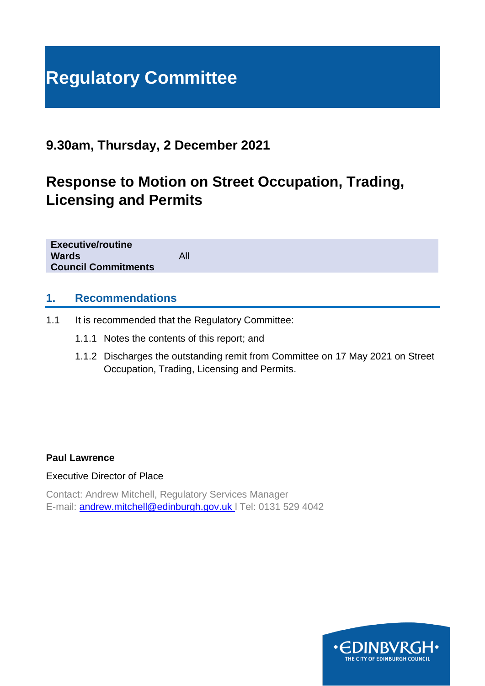# **Regulatory Committee**

# **9.30am, Thursday, 2 December 2021**

# **Response to Motion on Street Occupation, Trading, Licensing and Permits**

**Executive/routine Wards** All **Council Commitments**

#### **1. Recommendations**

- 1.1 It is recommended that the Regulatory Committee:
	- 1.1.1 Notes the contents of this report; and
	- 1.1.2 Discharges the outstanding remit from Committee on 17 May 2021 on Street Occupation, Trading, Licensing and Permits.

#### **Paul Lawrence**

#### Executive Director of Place

Contact: Andrew Mitchell, Regulatory Services Manager E-mail: [andrew.mitchell@edinburgh.gov.uk](mailto:andrew.mitchell@edinburgh.gov.uk) l Tel: 0131 529 4042

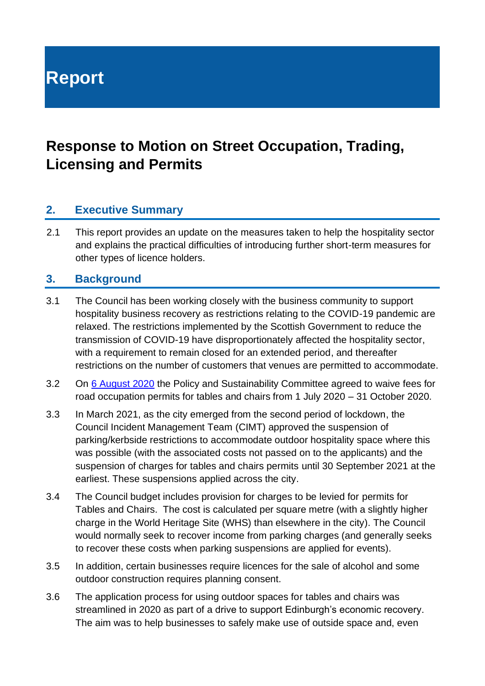**Report**

# **Response to Motion on Street Occupation, Trading, Licensing and Permits**

# **2. Executive Summary**

2.1 This report provides an update on the measures taken to help the hospitality sector and explains the practical difficulties of introducing further short-term measures for other types of licence holders.

#### **3. Background**

- 3.1 The Council has been working closely with the business community to support hospitality business recovery as restrictions relating to the COVID-19 pandemic are relaxed. The restrictions implemented by the Scottish Government to reduce the transmission of COVID-19 have disproportionately affected the hospitality sector, with a requirement to remain closed for an extended period, and thereafter restrictions on the number of customers that venues are permitted to accommodate.
- 3.2 On [6 August 2020](https://democracy.edinburgh.gov.uk/documents/s25032/Item%206.6%20-%20Supporting%20Local%20Businesses.pdf) the Policy and Sustainability Committee agreed to waive fees for road occupation permits for tables and chairs from 1 July 2020 – 31 October 2020.
- 3.3 In March 2021, as the city emerged from the second period of lockdown, the Council Incident Management Team (CIMT) approved the suspension of parking/kerbside restrictions to accommodate outdoor hospitality space where this was possible (with the associated costs not passed on to the applicants) and the suspension of charges for tables and chairs permits until 30 September 2021 at the earliest. These suspensions applied across the city.
- 3.4 The Council budget includes provision for charges to be levied for permits for Tables and Chairs. The cost is calculated per square metre (with a slightly higher charge in the World Heritage Site (WHS) than elsewhere in the city). The Council would normally seek to recover income from parking charges (and generally seeks to recover these costs when parking suspensions are applied for events).
- 3.5 In addition, certain businesses require licences for the sale of alcohol and some outdoor construction requires planning consent.
- 3.6 The application process for using outdoor spaces for tables and chairs was streamlined in 2020 as part of a drive to support Edinburgh's economic recovery. The aim was to help businesses to safely make use of outside space and, even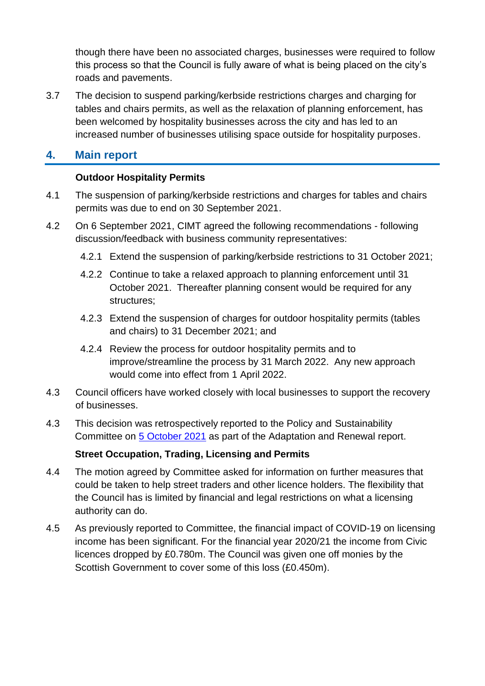though there have been no associated charges, businesses were required to follow this process so that the Council is fully aware of what is being placed on the city's roads and pavements.

3.7 The decision to suspend parking/kerbside restrictions charges and charging for tables and chairs permits, as well as the relaxation of planning enforcement, has been welcomed by hospitality businesses across the city and has led to an increased number of businesses utilising space outside for hospitality purposes.

# **4. Main report**

#### **Outdoor Hospitality Permits**

- 4.1 The suspension of parking/kerbside restrictions and charges for tables and chairs permits was due to end on 30 September 2021.
- 4.2 On 6 September 2021, CIMT agreed the following recommendations following discussion/feedback with business community representatives:
	- 4.2.1 Extend the suspension of parking/kerbside restrictions to 31 October 2021;
	- 4.2.2 Continue to take a relaxed approach to planning enforcement until 31 October 2021. Thereafter planning consent would be required for any structures;
	- 4.2.3 Extend the suspension of charges for outdoor hospitality permits (tables and chairs) to 31 December 2021; and
	- 4.2.4 Review the process for outdoor hospitality permits and to improve/streamline the process by 31 March 2022. Any new approach would come into effect from 1 April 2022.
- 4.3 Council officers have worked closely with local businesses to support the recovery of businesses.
- 4.3 This decision was retrospectively reported to the Policy and Sustainability Committee on [5 October 2021](https://democracy.edinburgh.gov.uk/documents/s37916/Item%207.19%20-%20Adaptation%20and%20Renewal%20Update.pdf) as part of the Adaptation and Renewal report.

#### **Street Occupation, Trading, Licensing and Permits**

- 4.4 The motion agreed by Committee asked for information on further measures that could be taken to help street traders and other licence holders. The flexibility that the Council has is limited by financial and legal restrictions on what a licensing authority can do.
- 4.5 As previously reported to Committee, the financial impact of COVID-19 on licensing income has been significant. For the financial year 2020/21 the income from Civic licences dropped by £0.780m. The Council was given one off monies by the Scottish Government to cover some of this loss (£0.450m).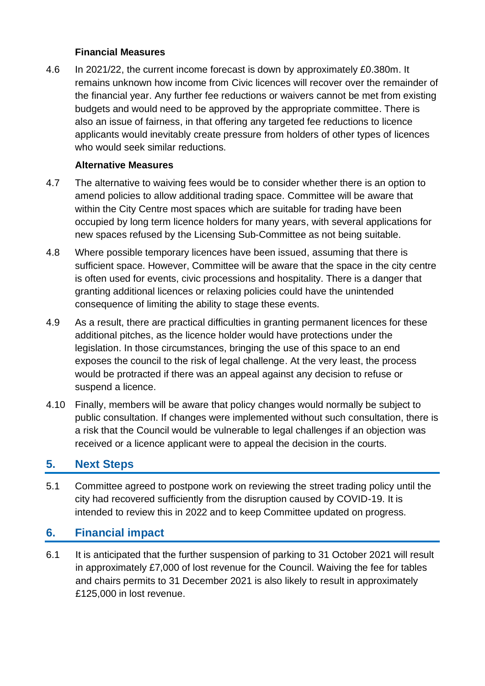#### **Financial Measures**

4.6 In 2021/22, the current income forecast is down by approximately £0.380m. It remains unknown how income from Civic licences will recover over the remainder of the financial year. Any further fee reductions or waivers cannot be met from existing budgets and would need to be approved by the appropriate committee. There is also an issue of fairness, in that offering any targeted fee reductions to licence applicants would inevitably create pressure from holders of other types of licences who would seek similar reductions.

#### **Alternative Measures**

- 4.7 The alternative to waiving fees would be to consider whether there is an option to amend policies to allow additional trading space. Committee will be aware that within the City Centre most spaces which are suitable for trading have been occupied by long term licence holders for many years, with several applications for new spaces refused by the Licensing Sub-Committee as not being suitable.
- 4.8 Where possible temporary licences have been issued, assuming that there is sufficient space. However, Committee will be aware that the space in the city centre is often used for events, civic processions and hospitality. There is a danger that granting additional licences or relaxing policies could have the unintended consequence of limiting the ability to stage these events.
- 4.9 As a result, there are practical difficulties in granting permanent licences for these additional pitches, as the licence holder would have protections under the legislation. In those circumstances, bringing the use of this space to an end exposes the council to the risk of legal challenge. At the very least, the process would be protracted if there was an appeal against any decision to refuse or suspend a licence.
- 4.10 Finally, members will be aware that policy changes would normally be subject to public consultation. If changes were implemented without such consultation, there is a risk that the Council would be vulnerable to legal challenges if an objection was received or a licence applicant were to appeal the decision in the courts.

# **5. Next Steps**

5.1 Committee agreed to postpone work on reviewing the street trading policy until the city had recovered sufficiently from the disruption caused by COVID-19. It is intended to review this in 2022 and to keep Committee updated on progress.

# **6. Financial impact**

6.1 It is anticipated that the further suspension of parking to 31 October 2021 will result in approximately £7,000 of lost revenue for the Council. Waiving the fee for tables and chairs permits to 31 December 2021 is also likely to result in approximately £125,000 in lost revenue.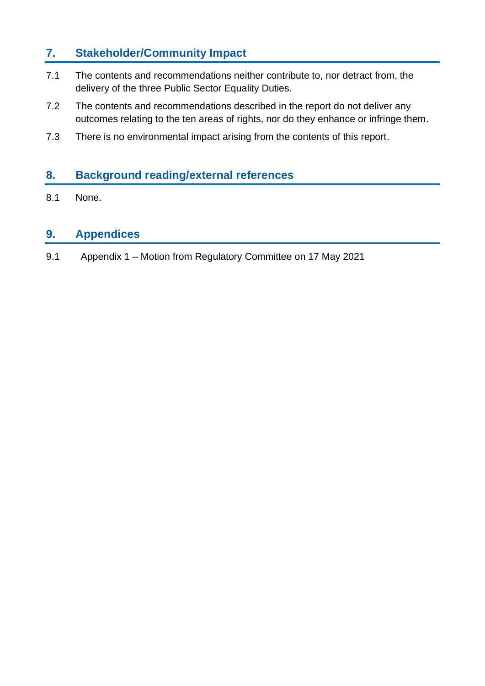# **7. Stakeholder/Community Impact**

- 7.1 The contents and recommendations neither contribute to, nor detract from, the delivery of the three Public Sector Equality Duties.
- 7.2 The contents and recommendations described in the report do not deliver any outcomes relating to the ten areas of rights, nor do they enhance or infringe them.
- 7.3 There is no environmental impact arising from the contents of this report.

# **8. Background reading/external references**

8.1 None.

# **9. Appendices**

9.1 Appendix 1 – Motion from Regulatory Committee on 17 May 2021